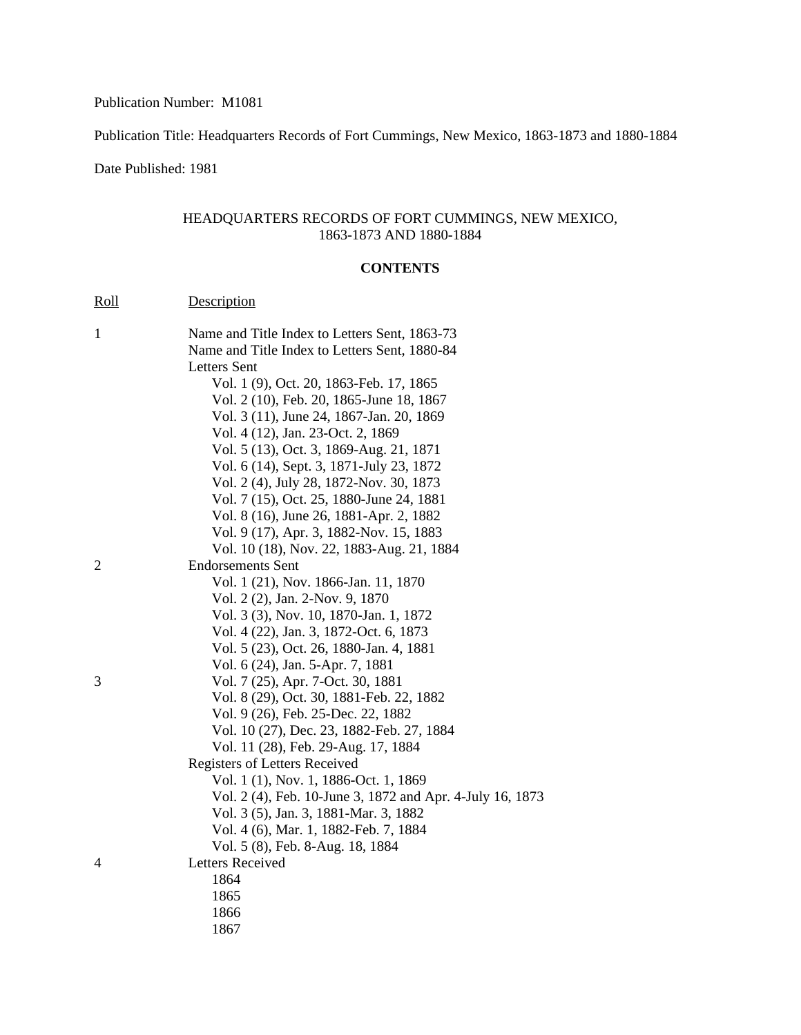Publication Number: M1081

Publication Title: Headquarters Records of Fort Cummings, New Mexico, 1863-1873 and 1880-1884

Date Published: 1981

## HEADQUARTERS RECORDS OF FORT CUMMINGS, NEW MEXICO, 1863-1873 AND 1880-1884

## **CONTENTS**

| Roll         | Description                                                                         |
|--------------|-------------------------------------------------------------------------------------|
| $\mathbf{1}$ | Name and Title Index to Letters Sent, 1863-73                                       |
|              | Name and Title Index to Letters Sent, 1880-84                                       |
|              | <b>Letters</b> Sent                                                                 |
|              | Vol. 1 (9), Oct. 20, 1863-Feb. 17, 1865                                             |
|              | Vol. 2 (10), Feb. 20, 1865-June 18, 1867                                            |
|              | Vol. 3 (11), June 24, 1867-Jan. 20, 1869                                            |
|              | Vol. 4 (12), Jan. 23-Oct. 2, 1869                                                   |
|              | Vol. 5 (13), Oct. 3, 1869-Aug. 21, 1871                                             |
|              | Vol. 6 (14), Sept. 3, 1871-July 23, 1872                                            |
|              | Vol. 2 (4), July 28, 1872-Nov. 30, 1873<br>Vol. 7 (15), Oct. 25, 1880-June 24, 1881 |
|              | Vol. 8 (16), June 26, 1881-Apr. 2, 1882                                             |
|              | Vol. 9 (17), Apr. 3, 1882-Nov. 15, 1883                                             |
|              | Vol. 10 (18), Nov. 22, 1883-Aug. 21, 1884                                           |
| 2            | <b>Endorsements Sent</b>                                                            |
|              | Vol. 1 (21), Nov. 1866-Jan. 11, 1870                                                |
|              | Vol. 2 (2), Jan. 2-Nov. 9, 1870                                                     |
|              | Vol. 3 (3), Nov. 10, 1870-Jan. 1, 1872                                              |
|              | Vol. 4 (22), Jan. 3, 1872-Oct. 6, 1873                                              |
|              | Vol. 5 (23), Oct. 26, 1880-Jan. 4, 1881                                             |
|              | Vol. 6 (24), Jan. 5-Apr. 7, 1881                                                    |
| 3            | Vol. 7 (25), Apr. 7-Oct. 30, 1881                                                   |
|              | Vol. 8 (29), Oct. 30, 1881-Feb. 22, 1882                                            |
|              | Vol. 9 (26), Feb. 25-Dec. 22, 1882                                                  |
|              | Vol. 10 (27), Dec. 23, 1882-Feb. 27, 1884                                           |
|              | Vol. 11 (28), Feb. 29-Aug. 17, 1884                                                 |
|              | Registers of Letters Received                                                       |
|              | Vol. 1 (1), Nov. 1, 1886-Oct. 1, 1869                                               |
|              | Vol. 2 (4), Feb. 10-June 3, 1872 and Apr. 4-July 16, 1873                           |
|              | Vol. 3 (5), Jan. 3, 1881-Mar. 3, 1882                                               |
|              | Vol. 4 (6), Mar. 1, 1882-Feb. 7, 1884                                               |
|              | Vol. 5 (8), Feb. 8-Aug. 18, 1884                                                    |
| 4            | <b>Letters Received</b>                                                             |
|              | 1864                                                                                |
|              | 1865                                                                                |
|              | 1866                                                                                |
|              | 1867                                                                                |